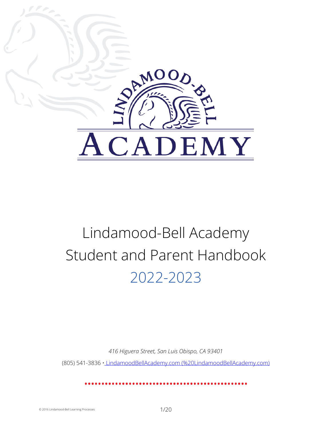<span id="page-0-0"></span>

# Lindamood-Bell Academy Student and Parent Handbook 2022-2023

*416 Higuera Street, San Luis Obispo, CA 93401*

(805) 541-3836 • LindamoodBellAcademy.com [\(%20LindamoodBellAcademy.com\)](https://lindamoodbell.octiv.com/%20LindamoodBellAcademy.com)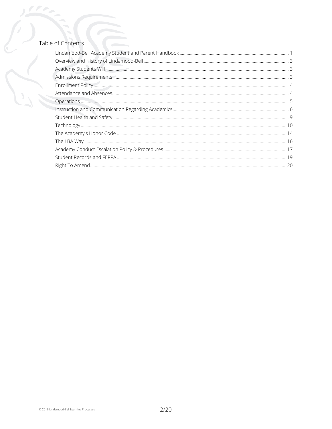### Table of Contents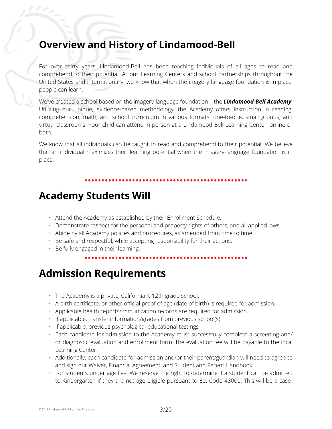# <span id="page-2-0"></span>**Overview and History of Lindamood-Bell**

For over thirty years, Lindamood-Bell has been teaching individuals of all ages to read and comprehend to their potential. At our Learning Centers and school partnerships throughout the United States and internationally, we know that when the imagery-language foundation is in place, people can learn.

We've created a school based on the imagery-language foundation—the *Lindamood-Bell Academy*. Utilizing our unique, evidence-based methodology, the Academy offers instruction in reading, comprehension, math, and school curriculum in various formats: one-to-one, small groups, and virtual classrooms. Your child can attend in person at a Lindamood-Bell Learning Center, online or both.

We know that all individuals can be taught to read and comprehend to their potential. We believe that an individual maximizes their learning potential when the imagery-language foundation is in place.

# <span id="page-2-1"></span>**Academy Students Will**

- Attend the Academy as established by their Enrollment Schedule.
- Demonstrate respect for the personal and property rights of others, and all applied laws.
- Abide by all Academy policies and procedures, as amended from time to time.
- Be safe and respectful, while accepting responsibility for their actions.
- Be fully engaged in their learning.

# <span id="page-2-2"></span>**Admission Requirements**

- The Academy is a private, California K-12th grade school.
- A birth certificate, or other official proof of age (date of birth) is required for admission.
- Applicable health reports/immunization records are required for admission.
- If applicable, transfer information/grades from previous school(s).
- If applicable, previous psychological-educational testings
- Each candidate for admission to the Academy must successfully complete a screening and/ or diagnostic evaluation and enrollment form. The evaluation fee will be payable to the local Learning Center.
- Additionally, each candidate for admission and/or their parent/guardian will need to agree to and sign our Waiver, Financial Agreement, and Student and Parent Handbook.
- For students under age five: We reserve the right to determine if a student can be admitted to Kindergarten if they are not age eligible pursuant to Ed. Code 48000. This will be a case-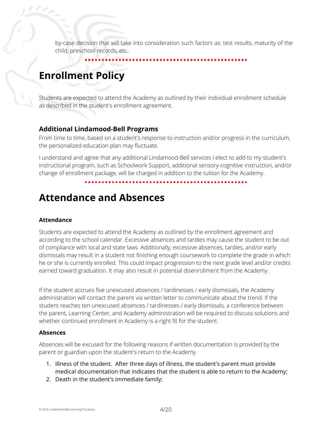by-case decision that will take into consideration such factors as: test results, maturity of the child, preschool records, etc.

# <span id="page-3-0"></span>**Enrollment Policy**

Students are expected to attend the Academy as outlined by their individual enrollment schedule as described in the student's enrollment agreement.

### **Additional Lindamood-Bell Programs**

From time to time, based on a student's response to instruction and/or progress in the curriculum, the personalized education plan may fluctuate.

I understand and agree that any additional Lindamood-Bell services I elect to add to my student's instructional program, such as Schoolwork Support, additional sensory-cognitive instruction, and/or change of enrollment package, will be charged in addition to the tuition for the Academy.

# <span id="page-3-1"></span>**Attendance and Absences**

#### **Attendance**

Students are expected to attend the Academy as outlined by the enrollment agreement and according to the school calendar. Excessive absences and tardies may cause the student to be out of compliance with local and state laws. Additionally, excessive absences, tardies, and/or early dismissals may result in a student not finishing enough coursework to complete the grade in which he or she is currently enrolled. This could impact progression to the next grade level and/or credits earned toward graduation. It may also result in potential disenrollment from the Academy.

If the student accrues five unexcused absences / tardinesses / early dismissals, the Academy administration will contact the parent via written letter to communicate about the trend. If the student reaches ten unexcused absences / tardinesses / early dismissals, a conference between the parent, Learning Center, and Academy administration will be required to discuss solutions and whether continued enrollment in Academy is a right fit for the student.

#### **Absences**

Absences will be excused for the following reasons if written documentation is provided by the parent or guardian upon the student's return to the Academy.

- 1. Illness of the student. After three days of illness, the student's parent must provide medical documentation that indicates that the student is able to return to the Academy;
- 2. Death in the student's immediate family;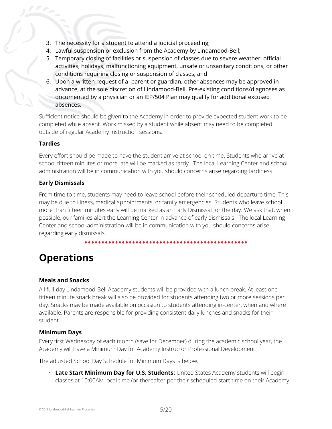- 3. The necessity for a student to attend a judicial proceeding;
- 4. Lawful suspension or exclusion from the Academy by Lindamood-Bell;
- 5. Temporary closing of facilities or suspension of classes due to severe weather, official activities, holidays, malfunctioning equipment, unsafe or unsanitary conditions, or other conditions requiring closing or suspension of classes; and
- 6. Upon a written request of a parent or guardian, other absences may be approved in advance, at the sole discretion of Lindamood-Bell. Pre-existing conditions/diagnoses as documented by a physician or an IEP/504 Plan may qualify for additional excused absences.

Sufficient notice should be given to the Academy in order to provide expected student work to be completed while absent. Work missed by a student while absent may need to be completed outside of regular Academy instruction sessions.

#### **Tardies**

Every effort should be made to have the student arrive at school on time. Students who arrive at school fifteen minutes or more late will be marked as tardy. The local Learning Center and school administration will be in communication with you should concerns arise regarding tardiness.

### **Early Dismissals**

From time to time, students may need to leave school before their scheduled departure time. This may be due to illness, medical appointments, or family emergencies. Students who leave school more than fifteen minutes early will be marked as an Early Dismissal for the day. We ask that, when possible, our families alert the Learning Center in advance of early dismissals. The local Learning Center and school administration will be in communication with you should concerns arise regarding early dismissals.

# <span id="page-4-0"></span>**Operations**

### **Meals and Snacks**

All full-day Lindamood-Bell Academy students will be provided with a lunch break. At least one fifteen minute snack break will also be provided for students attending two or more sessions per day. Snacks may be made available on occasion to students attending in-center, when and where available. Parents are responsible for providing consistent daily lunches and snacks for their student.

#### **Minimum Days**

Every first Wednesday of each month (save for December) during the academic school year, the Academy will have a Minimum Day for Academy Instructor Professional Development.

The adjusted School Day Schedule for Minimum Days is below:

• **Late Start Minimum Day for U.S. Students:** United States Academy students will begin classes at 10:00AM local time (or thereafter per their scheduled start time on their Academy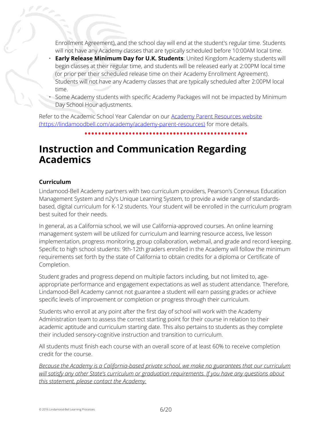Enrollment Agreement), and the school day will end at the student's regular time. Students will not have any Academy classes that are typically scheduled before 10:00AM local time.

- **Early Release Minimum Day for U.K. Students**: United Kingdom Academy students will begin classes at their regular time, and students will be released early at 2:00PM local time (or prior per their scheduled release time on their Academy Enrollment Agreement). Students will not have any Academy classes that are typically scheduled after 2:00PM local time.
- Some Academy students with specific Academy Packages will not be impacted by Minimum Day School Hour adjustments.

Refer to the Academic School Year Calendar on our [Academy Parent Resources website](https://lindamoodbell.com/academy/academy-parent-resources) [\(https://lindamoodbell.com/academy/academy-parent-resources\)](https://lindamoodbell.com/academy/academy-parent-resources) for more details.

# <span id="page-5-0"></span>**Instruction and Communication Regarding Academics**

#### **Curriculum**

Lindamood-Bell Academy partners with two curriculum providers, Pearson's Connexus Education Management System and n2y's Unique Learning System, to provide a wide range of standardsbased, digital curriculum for K-12 students. Your student will be enrolled in the curriculum program best suited for their needs.

In general, as a California school, we will use California-approved courses. An online learning management system will be utilized for curriculum and learning resource access, live lesson implementation, progress monitoring, group collaboration, webmail, and grade and record keeping. Specific to high school students: 9th-12th graders enrolled in the Academy will follow the minimum requirements set forth by the state of California to obtain credits for a diploma or Certificate of Completion.

Student grades and progress depend on multiple factors including, but not limited to, ageappropriate performance and engagement expectations as well as student attendance. Therefore, Lindamood-Bell Academy cannot not guarantee a student will earn passing grades or achieve specific levels of improvement or completion or progress through their curriculum.

Students who enroll at any point after the first day of school will work with the Academy Administration team to assess the correct starting point for their course in relation to their academic aptitude and curriculum starting date. This also pertains to students as they complete their included sensory-cognitive instruction and transition to curriculum.

All students must finish each course with an overall score of at least 60% to receive completion credit for the course.

*Because the Academy is a California-based private school, we make no guarantees that our curriculum will satisfy any other State's curriculum or graduation requirements. If you have any questions about this statement, please contact the Academy.*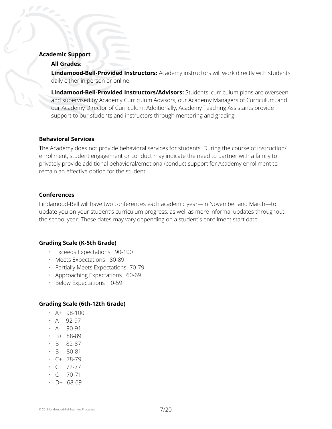#### **Academic Support**

#### **All Grades:**

**Lindamood-Bell-Provided Instructors:** Academy instructors will work directly with students daily either in person or online.

**Lindamood-Bell-Provided Instructors/Advisors:** Students' curriculum plans are overseen and supervised by Academy Curriculum Advisors, our Academy Managers of Curriculum, and our Academy Director of Curriculum. Additionally, Academy Teaching Assistants provide support to our students and instructors through mentoring and grading.

#### **Behavioral Services**

The Academy does not provide behavioral services for students. During the course of instruction/ enrollment, student engagement or conduct may indicate the need to partner with a family to privately provide additional behavioral/emotional/conduct support for Academy enrollment to remain an effective option for the student.

#### **Conferences**

Lindamood-Bell will have two conferences each academic year—in November and March—to update you on your student's curriculum progress, as well as more informal updates throughout the school year. These dates may vary depending on a student's enrollment start date.

#### **Grading Scale (K-5th Grade)**

- Exceeds Expectations 90-100
- Meets Expectations 80-89
- Partially Meets Expectations 70-79
- Approaching Expectations 60-69
- Below Expectations 0-59

#### **Grading Scale (6th-12th Grade)**

- A+ 98-100
- A 92-97
- A- 90-91
- B+ 88-89
- B 82-87
- B- 80-81
- C+ 78-79
- C 72-77
- $\cdot$  C- 70-71
- D+ 68-69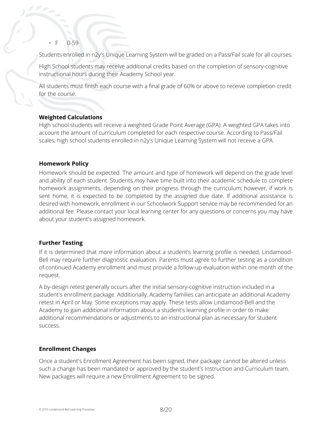$·$  F  $()$ -59

Students enrolled in n2y's Unique Learning System will be graded on a Pass/Fail scale for all courses.

High School students may receive additional credits based on the completion of sensory-cognitive instructional hours during their Academy School year.

All students must finish each course with a final grade of 60% or above to receive completion credit for the course.

#### **Weighted Calculations**

High school students will receive a weighted Grade Point Average (GPA). A weighted GPA takes into account the amount of curriculum completed for each respective course. According to Pass/Fail scales, high school students enrolled in n2y's Unique Learning System will not receive a GPA.

#### **Homework Policy**

Homework should be expected. The amount and type of homework will depend on the grade level and ability of each student. Students *may* have time built into their academic schedule to complete homework assignments, depending on their progress through the curriculum; however, if work is sent home, it is expected to be completed by the assigned due date. If additional assistance is desired with homework, enrollment in our Schoolwork Support service may be recommended for an additional fee. Please contact your local learning center for any questions or concerns you may have about your student's assigned homework.

#### **Further Testing**

If it is determined that more information about a student's learning profile is needed, Lindamood-Bell may require further diagnostic evaluation. Parents must agree to further testing as a condition of continued Academy enrollment and must provide a follow-up evaluation within one month of the request.

A by-design retest generally occurs after the initial sensory-cognitive instruction included in a student's enrollment package. Additionally, Academy families can anticipate an additional Academy retest in April or May. Some exceptions may apply. These tests allow Lindamood-Bell and the Academy to gain additional information about a student's learning profile in order to make additional recommendations or adjustments to an instructional plan as necessary for student success.

#### **Enrollment Changes**

Once a student's Enrollment Agreement has been signed, their package cannot be altered unless such a change has been mandated or approved by the student's Instruction and Curriculum team. New packages will require a new Enrollment Agreement to be signed.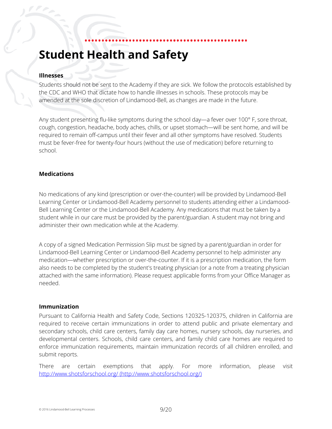# <span id="page-8-0"></span>**Student Health and Safety**

#### **Illnesses**

Students should not be sent to the Academy if they are sick. We follow the protocols established by the CDC and WHO that dictate how to handle illnesses in schools. These protocols may be amended at the sole discretion of Lindamood-Bell, as changes are made in the future.

Any student presenting flu-like symptoms during the school day—a fever over 100° F, sore throat, cough, congestion, headache, body aches, chills, or upset stomach—will be sent home, and will be required to remain off-campus until their fever and all other symptoms have resolved. Students must be fever-free for twenty-four hours (without the use of medication) before returning to school.

#### **Medications**

No medications of any kind (prescription or over-the-counter) will be provided by Lindamood-Bell Learning Center or Lindamood-Bell Academy personnel to students attending either a Lindamood-Bell Learning Center or the Lindamood-Bell Academy. Any medications that must be taken by a student while in our care must be provided by the parent/guardian. A student may not bring and administer their own medication while at the Academy.

A copy of a signed Medication Permission Slip must be signed by a parent/guardian in order for Lindamood-Bell Learning Center or Lindamood-Bell Academy personnel to help administer any medication—whether prescription or over-the-counter. If it is a prescription medication, the form also needs to be completed by the student's treating physician (or a note from a treating physician attached with the same information). Please request applicable forms from your Office Manager as needed.

#### **Immunization**

Pursuant to California Health and Safety Code, Sections 120325-120375, children in California are required to receive certain immunizations in order to attend public and private elementary and secondary schools, child care centers, family day care homes, nursery schools, day nurseries, and developmental centers. Schools, child care centers, and family child care homes are required to enforce immunization requirements, maintain immunization records of all children enrolled, and submit reports.

There are certain exemptions that apply. For more information, please visit http://www.shotsforschool.org/ [\(http://www.shotsforschool.org/\)](http://www.shotsforschool.org/)

© 2016 Lindamood-Bell Learning Processes 9/20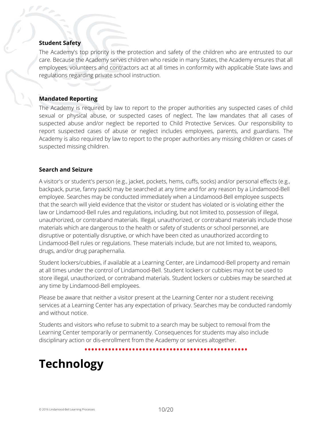#### **Student Safety**

The Academy's top priority is the protection and safety of the children who are entrusted to our care. Because the Academy serves children who reside in many States, the Academy ensures that all employees, volunteers and contractors act at all times in conformity with applicable State laws and regulations regarding private school instruction.

#### **Mandated Reporting**

The Academy is required by law to report to the proper authorities any suspected cases of child sexual or physical abuse, or suspected cases of neglect. The law mandates that all cases of suspected abuse and/or neglect be reported to Child Protective Services. Our responsibility to report suspected cases of abuse or neglect includes employees, parents, and guardians. The Academy is also required by law to report to the proper authorities any missing children or cases of suspected missing children.

#### **Search and Seizure**

A visitor's or student's person (e.g., jacket, pockets, hems, cuffs, socks) and/or personal effects (e.g., backpack, purse, fanny pack) may be searched at any time and for any reason by a Lindamood-Bell employee. Searches may be conducted immediately when a Lindamood-Bell employee suspects that the search will yield evidence that the visitor or student has violated or is violating either the law or Lindamood-Bell rules and regulations, including, but not limited to, possession of illegal, unauthorized, or contraband materials. Illegal, unauthorized, or contraband materials include those materials which are dangerous to the health or safety of students or school personnel, are disruptive or potentially disruptive, or which have been cited as unauthorized according to Lindamood-Bell rules or regulations. These materials include, but are not limited to, weapons, drugs, and/or drug paraphernalia.

Student lockers/cubbies, if available at a Learning Center, are Lindamood-Bell property and remain at all times under the control of Lindamood-Bell. Student lockers or cubbies may not be used to store illegal, unauthorized, or contraband materials. Student lockers or cubbies may be searched at any time by Lindamood-Bell employees.

Please be aware that neither a visitor present at the Learning Center nor a student receiving services at a Learning Center has any expectation of privacy. Searches may be conducted randomly and without notice.

Students and visitors who refuse to submit to a search may be subject to removal from the Learning Center temporarily or permanently. Consequences for students may also include disciplinary action or dis-enrollment from the Academy or services altogether.

# <span id="page-9-0"></span>**Technology**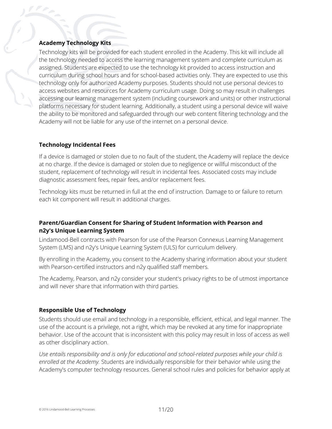#### **Academy Technology Kits**

Technology kits will be provided for each student enrolled in the Academy. This kit will include all the technology needed to access the learning management system and complete curriculum as assigned. Students are expected to use the technology kit provided to access instruction and curriculum during school hours and for school-based activities only. They are expected to use this technology only for authorized Academy purposes. Students should not use personal devices to access websites and resources for Academy curriculum usage. Doing so may result in challenges accessing our learning management system (including coursework and units) or other instructional platforms necessary for student learning. Additionally, a student using a personal device will waive the ability to be monitored and safeguarded through our web content filtering technology and the Academy will not be liable for any use of the internet on a personal device.

#### **Technology Incidental Fees**

If a device is damaged or stolen due to no fault of the student, the Academy will replace the device at no charge. If the device is damaged or stolen due to negligence or willful misconduct of the student, replacement of technology will result in incidental fees. Associated costs may include diagnostic assessment fees, repair fees, and/or replacement fees.

Technology kits must be returned in full at the end of instruction. Damage to or failure to return each kit component will result in additional charges.

#### **Parent/Guardian Consent for Sharing of Student Information with Pearson and n2y's Unique Learning System**

Lindamood-Bell contracts with Pearson for use of the Pearson Connexus Learning Management System (LMS) and n2y's Unique Learning System (ULS) for curriculum delivery.

By enrolling in the Academy, you consent to the Academy sharing information about your student with Pearson-certified instructors and n2y qualified staff members.

The Academy, Pearson, and n2y consider your student's privacy rights to be of utmost importance and will never share that information with third parties.

#### **Responsible Use of Technology**

Students should use email and technology in a responsible, efficient, ethical, and legal manner. The use of the account is a privilege, not a right, which may be revoked at any time for inappropriate behavior. Use of the account that is inconsistent with this policy may result in loss of access as well as other disciplinary action.

*Use entails responsibility and is only for educational and school-related purposes while your child is enrolled at the Academy.* Students are individually responsible for their behavior while using the Academy's computer technology resources. General school rules and policies for behavior apply at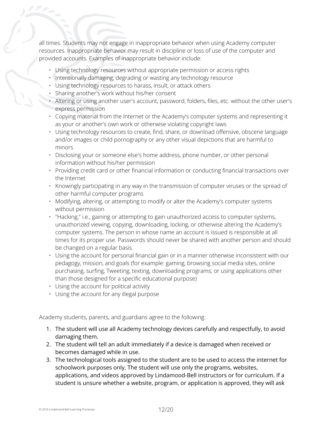all times. Students may not engage in inappropriate behavior when using Academy computer resources. Inappropriate behavior may result in discipline or loss of use of the computer and provided accounts. Examples of inappropriate behavior include:

- Using technology resources without appropriate permission or access rights
- Intentionally damaging, degrading or wasting any technology resource
- Using technology resources to harass, insult, or attack others
- Sharing another's work without his/her consent
- Altering or using another user's account, password, folders, files, etc. without the other user's express permission
- Copying material from the Internet or the Academy's computer systems and representing it as your or another's own work or otherwise violating copyright laws
- Using technology resources to create, find, share, or download offensive, obscene language and/or images or child pornography or any other visual depictions that are harmful to minors
- Disclosing your or someone else's home address, phone number, or other personal information without his/her permission
- Providing credit card or other financial information or conducting financial transactions over the Internet
- Knowingly participating in any way in the transmission of computer viruses or the spread of other harmful computer programs
- Modifying, altering, or attempting to modify or alter the Academy's computer systems without permission
- "Hacking," i.e., gaining or attempting to gain unauthorized access to computer systems, unauthorized viewing, copying, downloading, locking, or otherwise altering the Academy's computer systems. The person in whose name an account is issued is responsible at all times for its proper use. Passwords should never be shared with another person and should be changed on a regular basis.
- Using the account for personal financial gain or in a manner otherwise inconsistent with our pedagogy, mission, and goals (for example: gaming, browsing social media sites, online purchasing, surfing, Tweeting, texting, downloading programs, or using applications other than those designed for a specific educational purpose)
- Using the account for political activity
- Using the account for any illegal purpose

Academy students, parents, and guardians agree to the following:

- 1. The student will use all Academy technology devices carefully and respectfully, to avoid damaging them.
- 2. The student will tell an adult immediately if a device is damaged when received or becomes damaged while in use.
- 3. The technological tools assigned to the student are to be used to access the internet for schoolwork purposes only. The student will use only the programs, websites, applications, and videos approved by Lindamood-Bell instructors or for curriculum. If a student is unsure whether a website, program, or application is approved, they will ask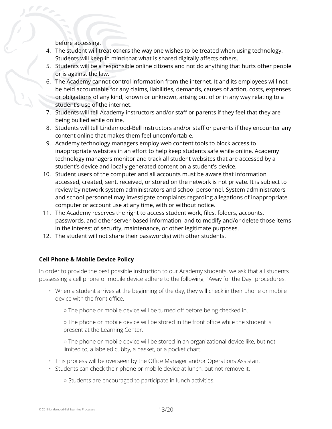before accessing.

- 4. The student will treat others the way one wishes to be treated when using technology. Students will keep in mind that what is shared digitally affects others.
- 5. Students will be a responsible online citizens and not do anything that hurts other people or is against the law.
- 6. The Academy cannot control information from the internet. It and its employees will not be held accountable for any claims, liabilities, demands, causes of action, costs, expenses or obligations of any kind, known or unknown, arising out of or in any way relating to a student's use of the internet.
- 7. Students will tell Academy instructors and/or staff or parents if they feel that they are being bullied while online.
- 8. Students will tell Lindamood-Bell instructors and/or staff or parents if they encounter any content online that makes them feel uncomfortable.
- 9. Academy technology managers employ web content tools to block access to inappropriate websites in an effort to help keep students safe while online. Academy technology managers monitor and track all student websites that are accessed by a student's device and locally generated content on a student's device.
- 10. Student users of the computer and all accounts must be aware that information accessed, created, sent, received, or stored on the network is not private. It is subject to review by network system administrators and school personnel. System administrators and school personnel may investigate complaints regarding allegations of inappropriate computer or account use at any time, with or without notice.
- 11. The Academy reserves the right to access student work, files, folders, accounts, passwords, and other server-based information, and to modify and/or delete those items in the interest of security, maintenance, or other legitimate purposes.
- 12. The student will not share their password(s) with other students.

#### **Cell Phone & Mobile Device Policy**

In order to provide the best possible instruction to our Academy students, we ask that all students possessing a cell phone or mobile device adhere to the following "Away for the Day" procedures:

- When a student arrives at the beginning of the day, they will check in their phone or mobile device with the front office.
	- The phone or mobile device will be turned off before being checked in.

○ The phone or mobile device will be stored in the front office while the student is present at the Learning Center.

○ The phone or mobile device will be stored in an organizational device like, but not limited to, a labeled cubby, a basket, or a pocket chart.

- This process will be overseen by the Office Manager and/or Operations Assistant.
- Students can check their phone or mobile device at lunch, but not remove it.

○ Students are encouraged to participate in lunch activities.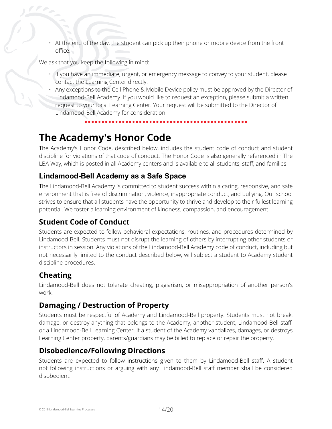• At the end of the day, the student can pick up their phone or mobile device from the front office.

We ask that you keep the following in mind:

- If you have an immediate, urgent, or emergency message to convey to your student, please contact the Learning Center directly.
- Any exceptions to the Cell Phone & Mobile Device policy must be approved by the Director of Lindamood-Bell Academy. If you would like to request an exception, please submit a written request to your local Learning Center. Your request will be submitted to the Director of Lindamood-Bell Academy for consideration.

# <span id="page-13-0"></span>**The Academy's Honor Code**

The Academy's Honor Code, described below, includes the student code of conduct and student discipline for violations of that code of conduct. The Honor Code is also generally referenced in The LBA Way, which is posted in all Academy centers and is available to all students, staff, and families.

### **Lindamood-Bell Academy as a Safe Space**

The Lindamood-Bell Academy is committed to student success within a caring, responsive, and safe environment that is free of discrimination, violence, inappropriate conduct, and bullying. Our school strives to ensure that all students have the opportunity to thrive and develop to their fullest learning potential. We foster a learning environment of kindness, compassion, and encouragement.

### **Student Code of Conduct**

Students are expected to follow behavioral expectations, routines, and procedures determined by Lindamood-Bell. Students must not disrupt the learning of others by interrupting other students or instructors in session. Any violations of the Lindamood-Bell Academy code of conduct, including but not necessarily limited to the conduct described below, will subject a student to Academy student discipline procedures.

### **Cheating**

Lindamood-Bell does not tolerate cheating, plagiarism, or misappropriation of another person's work.

### **Damaging / Destruction of Property**

Students must be respectful of Academy and Lindamood-Bell property. Students must not break, damage, or destroy anything that belongs to the Academy, another student, Lindamood-Bell staff, or a Lindamood-Bell Learning Center. If a student of the Academy vandalizes, damages, or destroys Learning Center property, parents/guardians may be billed to replace or repair the property.

### **Disobedience/Following Directions**

Students are expected to follow instructions given to them by Lindamood-Bell staff. A student not following instructions or arguing with any Lindamood-Bell staff member shall be considered disobedient.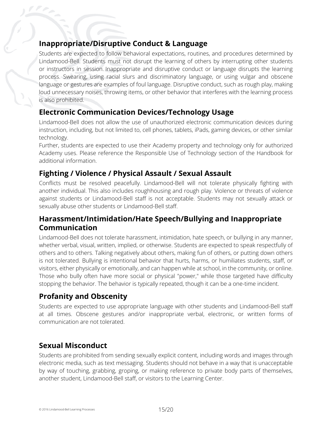# **Inappropriate/Disruptive Conduct & Language**

 $\mathcal{C}$ 

Students are expected to follow behavioral expectations, routines, and procedures determined by Lindamood-Bell. Students must not disrupt the learning of others by interrupting other students or instructors in session. Inappropriate and disruptive conduct or language disrupts the learning process. Swearing, using racial slurs and discriminatory language, or using vulgar and obscene language or gestures are examples of foul language. Disruptive conduct, such as rough play, making loud unnecessary noises, throwing items, or other behavior that interferes with the learning process is also prohibited.

# **Electronic Communication Devices/Technology Usage**

Lindamood-Bell does not allow the use of unauthorized electronic communication devices during instruction, including, but not limited to, cell phones, tablets, iPads, gaming devices, or other similar technology.

Further, students are expected to use their Academy property and technology only for authorized Academy uses. Please reference the Responsible Use of Technology section of the Handbook for additional information.

# **Fighting / Violence / Physical Assault / Sexual Assault**

Conflicts must be resolved peacefully. Lindamood-Bell will not tolerate physically fighting with another individual. This also includes roughhousing and rough play. Violence or threats of violence against students or Lindamood-Bell staff is not acceptable. Students may not sexually attack or sexually abuse other students or Lindamood-Bell staff.

# **Harassment/Intimidation/Hate Speech/Bullying and Inappropriate Communication**

Lindamood-Bell does not tolerate harassment, intimidation, hate speech, or bullying in any manner, whether verbal, visual, written, implied, or otherwise. Students are expected to speak respectfully of others and to others. Talking negatively about others, making fun of others, or putting down others is not tolerated. Bullying is intentional behavior that hurts, harms, or humiliates students, staff, or visitors, either physically or emotionally, and can happen while at school, in the community, or online. Those who bully often have more social or physical "power," while those targeted have difficulty stopping the behavior. The behavior is typically repeated, though it can be a one-time incident.

# **Profanity and Obscenity**

Students are expected to use appropriate language with other students and Lindamood-Bell staff at all times. Obscene gestures and/or inappropriate verbal, electronic, or written forms of communication are not tolerated.

# **Sexual Misconduct**

Students are prohibited from sending sexually explicit content, including words and images through electronic media, such as text messaging. Students should not behave in a way that is unacceptable by way of touching, grabbing, groping, or making reference to private body parts of themselves, another student, Lindamood-Bell staff, or visitors to the Learning Center.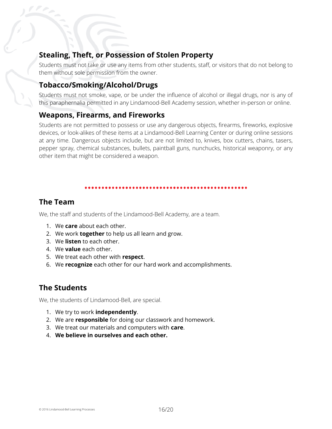### **Stealing, Theft, or Possession of Stolen Property**

Students must not take or use any items from other students, staff, or visitors that do not belong to them without sole permission from the owner.

### **Tobacco/Smoking/Alcohol/Drugs**

Students must not smoke, vape, or be under the influence of alcohol or illegal drugs, nor is any of this paraphernalia permitted in any Lindamood-Bell Academy session, whether in-person or online.

### **Weapons, Firearms, and Fireworks**

Students are not permitted to possess or use any dangerous objects, firearms, fireworks, explosive devices, or look-alikes of these items at a Lindamood-Bell Learning Center or during online sessions at any time. Dangerous objects include, but are not limited to, knives, box cutters, chains, tasers, pepper spray, chemical substances, bullets, paintball guns, nunchucks, historical weaponry, or any other item that might be considered a weapon.

### <span id="page-15-0"></span>**The Team**

We, the staff and students of the Lindamood-Bell Academy, are a team.

- 1. We **care** about each other.
- 2. We work **together** to help us all learn and grow.
- 3. We **listen** to each other.
- 4. We **value** each other.
- 5. We treat each other with **respect**.
- 6. We **recognize** each other for our hard work and accomplishments.

# **The Students**

We, the students of Lindamood-Bell, are special.

- 1. We try to work **independently**.
- 2. We are **responsible** for doing our classwork and homework.
- 3. We treat our materials and computers with **care**.
- 4. **We believe in ourselves and each other.**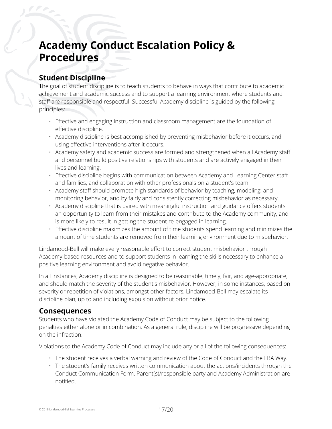# <span id="page-16-0"></span>**Academy Conduct Escalation Policy & Procedures**

# **Student Discipline**

The goal of student discipline is to teach students to behave in ways that contribute to academic achievement and academic success and to support a learning environment where students and staff are responsible and respectful. Successful Academy discipline is guided by the following principles:

- Effective and engaging instruction and classroom management are the foundation of effective discipline.
- Academy discipline is best accomplished by preventing misbehavior before it occurs, and using effective interventions after it occurs.
- Academy safety and academic success are formed and strengthened when all Academy staff and personnel build positive relationships with students and are actively engaged in their lives and learning.
- Effective discipline begins with communication between Academy and Learning Center staff and families, and collaboration with other professionals on a student's team.
- Academy staff should promote high standards of behavior by teaching, modeling, and monitoring behavior, and by fairly and consistently correcting misbehavior as necessary.
- Academy discipline that is paired with meaningful instruction and guidance offers students an opportunity to learn from their mistakes and contribute to the Academy community, and is more likely to result in getting the student re-engaged in learning.
- Effective discipline maximizes the amount of time students spend learning and minimizes the amount of time students are removed from their learning environment due to misbehavior.

Lindamood-Bell will make every reasonable effort to correct student misbehavior through Academy-based resources and to support students in learning the skills necessary to enhance a positive learning environment and avoid negative behavior.

In all instances, Academy discipline is designed to be reasonable, timely, fair, and age-appropriate, and should match the severity of the student's misbehavior. However, in some instances, based on severity or repetition of violations, amongst other factors, Lindamood-Bell may escalate its discipline plan, up to and including expulsion without prior notice.

### **Consequences**

Students who have violated the Academy Code of Conduct may be subject to the following penalties either alone or in combination. As a general rule, discipline will be progressive depending on the infraction.

Violations to the Academy Code of Conduct may include any or all of the following consequences:

- The student receives a verbal warning and review of the Code of Conduct and the LBA Way.
- The student's family receives written communication about the actions/incidents through the Conduct Communication Form. Parent(s)/responsible party and Academy Administration are notified.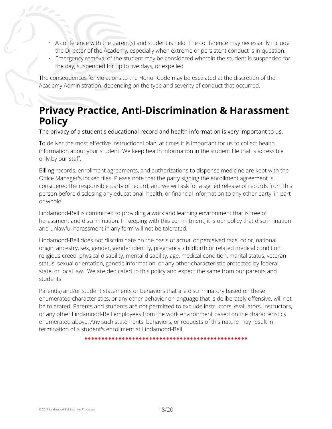- A conference with the parent(s) and student is held. The conference may necessarily include the Director of the Academy, especially when extreme or persistent conduct is in question.
- Emergency removal of the student may be considered wherein the student is suspended for the day, suspended for up to five days, or expelled.

The consequences for violations to the Honor Code may be escalated at the discretion of the Academy Administration, depending on the type and severity of conduct that occurred.

# **Privacy Practice, Anti-Discrimination & Harassment Policy**

#### The privacy of a student's educational record and health information is very important to us.

To deliver the most effective instructional plan, at times it is important for us to collect health information about your student. We keep health information in the student file that is accessible only by our staff.

Billing records, enrollment agreements, and authorizations to dispense medicine are kept with the Office Manager's locked files. Please note that the party signing the enrollment agreement is considered the responsible party of record, and we will ask for a signed release of records from this person before disclosing any educational, health, or financial information to any other party, in part or whole.

Lindamood-Bell is committed to providing a work and learning environment that is free of harassment and discrimination. In keeping with this commitment, it is our policy that discrimination and unlawful harassment in any form will not be tolerated.

Lindamood-Bell does not discriminate on the basis of actual or perceived race, color, national origin, ancestry, sex, gender, gender identity, pregnancy, childbirth or related medical condition, religious creed, physical disability, mental disability, age, medical condition, marital status, veteran status, sexual orientation, genetic information, or any other characteristic protected by federal, state, or local law. We are dedicated to this policy and expect the same from our parents and students.

Parent(s) and/or student statements or behaviors that are discriminatory based on these enumerated characteristics, or any other behavior or language that is deliberately offensive, will not be tolerated. Parents and students are not permitted to exclude instructors, evaluators, instructors, or any other Lindamood-Bell employees from the work environment based on the characteristics enumerated above. Any such statements, behaviors, or requests of this nature may result in termination of a student's enrollment at Lindamood-Bell.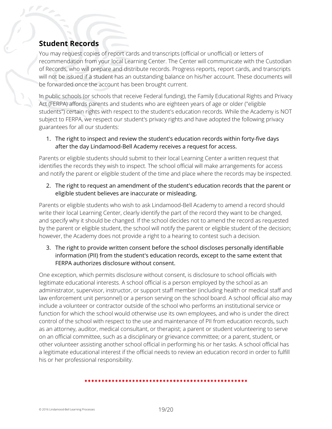# <span id="page-18-0"></span>**Student Records**

You may request copies of report cards and transcripts (official or unofficial) or letters of recommendation from your local Learning Center. The Center will communicate with the Custodian of Records, who will prepare and distribute records. Progress reports, report cards, and transcripts will not be issued if a student has an outstanding balance on his/her account. These documents will be forwarded once the account has been brought current.

In public schools (or schools that receive Federal funding), the Family Educational Rights and Privacy Act (FERPA) affords parents and students who are eighteen years of age or older ("eligible students") certain rights with respect to the student's education records. While the Academy is NOT subject to FERPA, we respect our student's privacy rights and have adopted the following privacy guarantees for all our students:

1. The right to inspect and review the student's education records within forty-five days after the day Lindamood-Bell Academy receives a request for access.

Parents or eligible students should submit to their local Learning Center a written request that identifies the records they wish to inspect. The school official will make arrangements for access and notify the parent or eligible student of the time and place where the records may be inspected.

2. The right to request an amendment of the student's education records that the parent or eligible student believes are inaccurate or misleading.

Parents or eligible students who wish to ask Lindamood-Bell Academy to amend a record should write their local Learning Center, clearly identify the part of the record they want to be changed, and specify why it should be changed. If the school decides not to amend the record as requested by the parent or eligible student, the school will notify the parent or eligible student of the decision; however, the Academy does not provide a right to a hearing to contest such a decision.

3. The right to provide written consent before the school discloses personally identifiable information (PII) from the student's education records, except to the same extent that FERPA authorizes disclosure without consent.

One exception, which permits disclosure without consent, is disclosure to school officials with legitimate educational interests. A school official is a person employed by the school as an administrator, supervisor, instructor, or support staff member (including health or medical staff and law enforcement unit personnel) or a person serving on the school board. A school official also may include a volunteer or contractor outside of the school who performs an institutional service or function for which the school would otherwise use its own employees, and who is under the direct control of the school with respect to the use and maintenance of PII from education records, such as an attorney, auditor, medical consultant, or therapist; a parent or student volunteering to serve on an official committee, such as a disciplinary or grievance committee; or a parent, student, or other volunteer assisting another school official in performing his or her tasks. A school official has a legitimate educational interest if the official needs to review an education record in order to fulfill his or her professional responsibility.